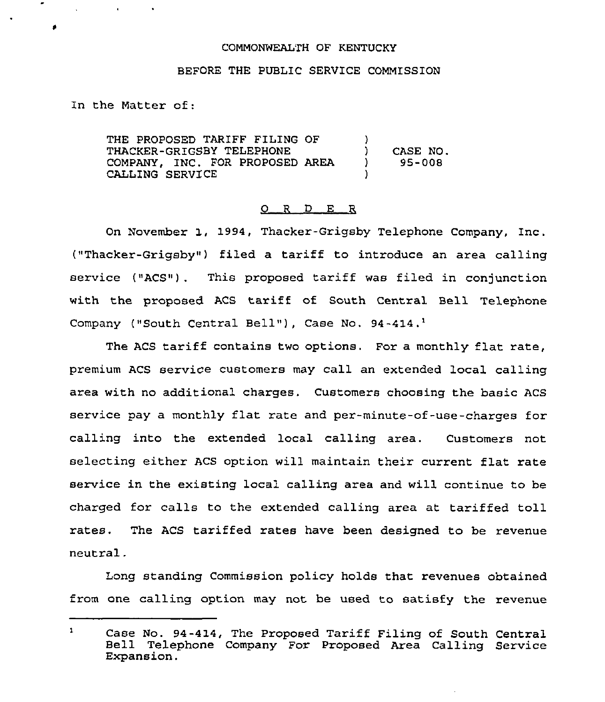## COMMONWEALTH OF KENTUCKY

## BEFORE THE PUBLIC SERVICE COMMISSION

In the Matter of:

 $\sim 10^{-10}$ 

 $\bullet$ 

THE PROPOSED TARIFF FILING OF THACKER-GRIGSBY TELEPHONE COMPANY, INC. FOR PROPOSED AREA CALLING SERVICE  $\left\{ \right\}$ ) CASE NO.<br>) 95-008 ) 95-008 )

## 0 <sup>R</sup> <sup>D</sup> E E

On November 1, 1994, Thacker-Grigsby Telephone Company, Inc. ("Thacker-Grigsby") filed a tariff to introduce an area calling service ("ACS") . This proposed tariff was filed in conjunction with the proposed ACS tariff of South Central Bell Telephone Company ("South Central Bell"), Case No. 94-414.<sup>1</sup>

The ACS tariff contains two options. For a monthly flat rate, premium ACS service customers may call an extended local calling area with no additional charges. Customers choosing the basic ACS service pay a monthly flat rate and per-minute-of-use-charges for calling into the extended local calling area. Customers not selecting either ACS option will maintain their current flat rate service in the existing local calling area and will continue to be charged for calls to the extended calling area at tariffed toll rates. The ACS tariffed rates have been designed to be revenue neutral.

Long standing Commission policy holds that revenues obtained from one calling option may not be used to satisfy the revenue

 $\mathbf{1}$ Case No. 94-414, The Proposed Tariff Filing of South Central Bell Telephone Company For Proposed Area Calling Service Expansion.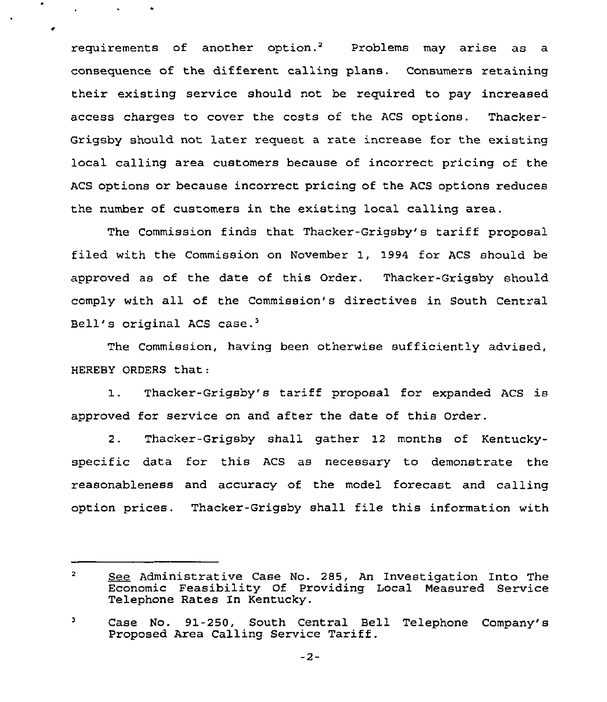requirements of another option.<sup>2</sup> Problems may arise as a consequence of the different calling plans. Consumers retaining their existing service should not be required to pay increased access charges to cover the costs of the ACS options. Thacker-Grigsby should not later request a rate increase for the existing local calling area customers because of incorrect pricing of the ACS options or because incorrect pricing of the ACS options reduces the number of customers in the existing local calling area.

The Commission finds that Thacker-Grigsby's tariff proposal filed with the Commission on November 1, 1994 for ACS should be approved as of the date of this Order, Thacker-Gxigsby should comply with all of the Commission's directives in South Centxal Bell's original ACS case.<sup>3</sup>

The Commission, having been otherwise sufficiently advised, HEREBY ORDERS that:

1. Thacker-Gxigsby's tariff pxoposal for expanded ACS is approved fox service on and after the date of this Order.

2. Thacker-Grigsby shall gather 12 months of Kentuckyspecific data fox this ACS as necessary to demonstrate the reasonableness and accuracy of the model forecast and calling option prices. Thacker-Grigsby shall file this information with

 $-2-$ 

 $\overline{2}$ See Administrative Case No. 285, An Investigation Into The Economic Feasibility Of Providing Local Measured Service Telephone Rates In Kentucky.

Case No. 91-250, South Central Bell Telephone Company'8 э Proposed Area Calling Service Tariff.